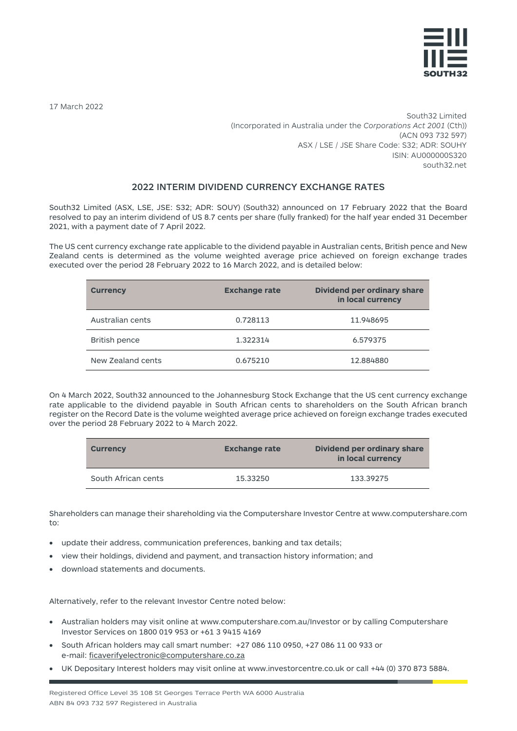

17 March 2022

South32 Limited (Incorporated in Australia under the *Corporations Act 2001* (Cth)) (ACN 093 732 597) ASX / LSE / JSE Share Code: S32; ADR: SOUHY ISIN: AU000000S320 south32.net

## 2022 INTERIM DIVIDEND CURRENCY EXCHANGE RATES

South32 Limited (ASX, LSE, JSE: S32; ADR: SOUY) (South32) announced on 17 February 2022 that the Board resolved to pay an interim dividend of US 8.7 cents per share (fully franked) for the half year ended 31 December 2021, with a payment date of 7 April 2022.

The US cent currency exchange rate applicable to the dividend payable in Australian cents, British pence and New Zealand cents is determined as the volume weighted average price achieved on foreign exchange trades executed over the period 28 February 2022 to 16 March 2022, and is detailed below:

| <b>Currency</b>   | <b>Exchange rate</b> | <b>Dividend per ordinary share</b><br>in local currency |
|-------------------|----------------------|---------------------------------------------------------|
| Australian cents  | 0.728113             | 11.948695                                               |
| British pence     | 1.322314             | 6.579375                                                |
| New Zealand cents | 0.675210             | 12.884880                                               |

On 4 March 2022, South32 announced to the Johannesburg Stock Exchange that the US cent currency exchange rate applicable to the dividend payable in South African cents to shareholders on the South African branch register on the Record Date is the volume weighted average price achieved on foreign exchange trades executed over the period 28 February 2022 to 4 March 2022.

| <b>Currency</b>     | <b>Exchange rate</b> | Dividend per ordinary share<br>in local currency |
|---------------------|----------------------|--------------------------------------------------|
| South African cents | 15.33250             | 133.39275                                        |

Shareholders can manage their shareholding via the Computershare Investor Centre a[t www.computershare.com](http://www.computershare.com/) to:

- update their address, communication preferences, banking and tax details;
- view their holdings, dividend and payment, and transaction history information; and
- download statements and documents.

Alternatively, refer to the relevant Investor Centre noted below:

- Australian holders may visit online at [www.computershare.com.au/Investor](http://www.computershare.com.au/Investor) or by calling Computershare Investor Services on 1800 019 953 or +61 3 9415 4169
- South African holders may call smart number: +27 086 110 0950, +27 086 11 00 933 or e-mail[: ficaverifyelectronic@computershare.co.za](mailto:ficaverifyelectronic@computershare.co.za)
- UK Depositary Interest holders may visit online at [www.investorcentre.co.uk](http://www.investorcentre.co.uk/) or call +44 (0) 370 873 5884.